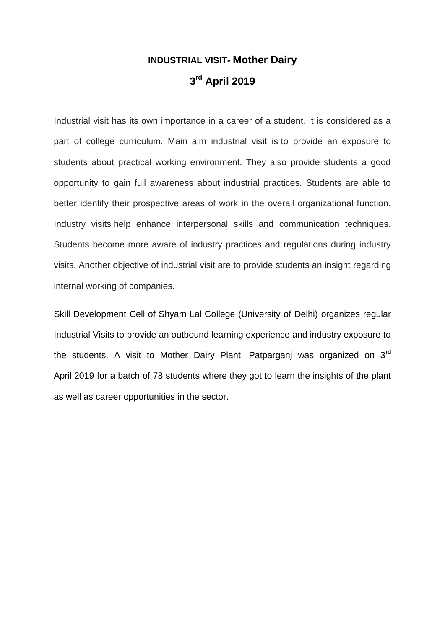## **INDUSTRIAL VISIT- Mother Dairy 3 rd April 2019**

Industrial visit has its own importance in a career of a student. It is considered as a part of college curriculum. Main aim industrial visit is to provide an exposure to students about practical working environment. They also provide students a good opportunity to gain full awareness about industrial practices. Students are able to better identify their prospective areas of work in the overall organizational function. Industry visits help enhance interpersonal skills and communication techniques. Students become more aware of industry practices and regulations during industry visits. Another objective of industrial visit are to provide students an insight regarding internal working of companies.

Skill Development Cell of Shyam Lal College (University of Delhi) organizes regular Industrial Visits to provide an outbound learning experience and industry exposure to the students. A visit to Mother Dairy Plant, Patparganj was organized on 3<sup>rd</sup> April,2019 for a batch of 78 students where they got to learn the insights of the plant as well as career opportunities in the sector.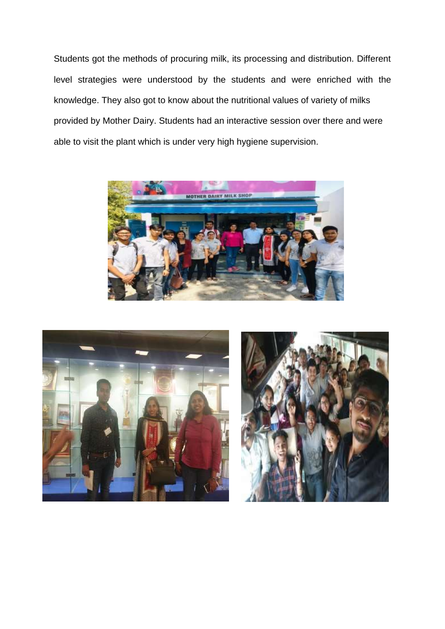Students got the methods of procuring milk, its processing and distribution. Different level strategies were understood by the students and were enriched with the knowledge. They also got to know about the nutritional values of variety of milks provided by Mother Dairy. Students had an interactive session over there and were able to visit the plant which is under very high hygiene supervision.